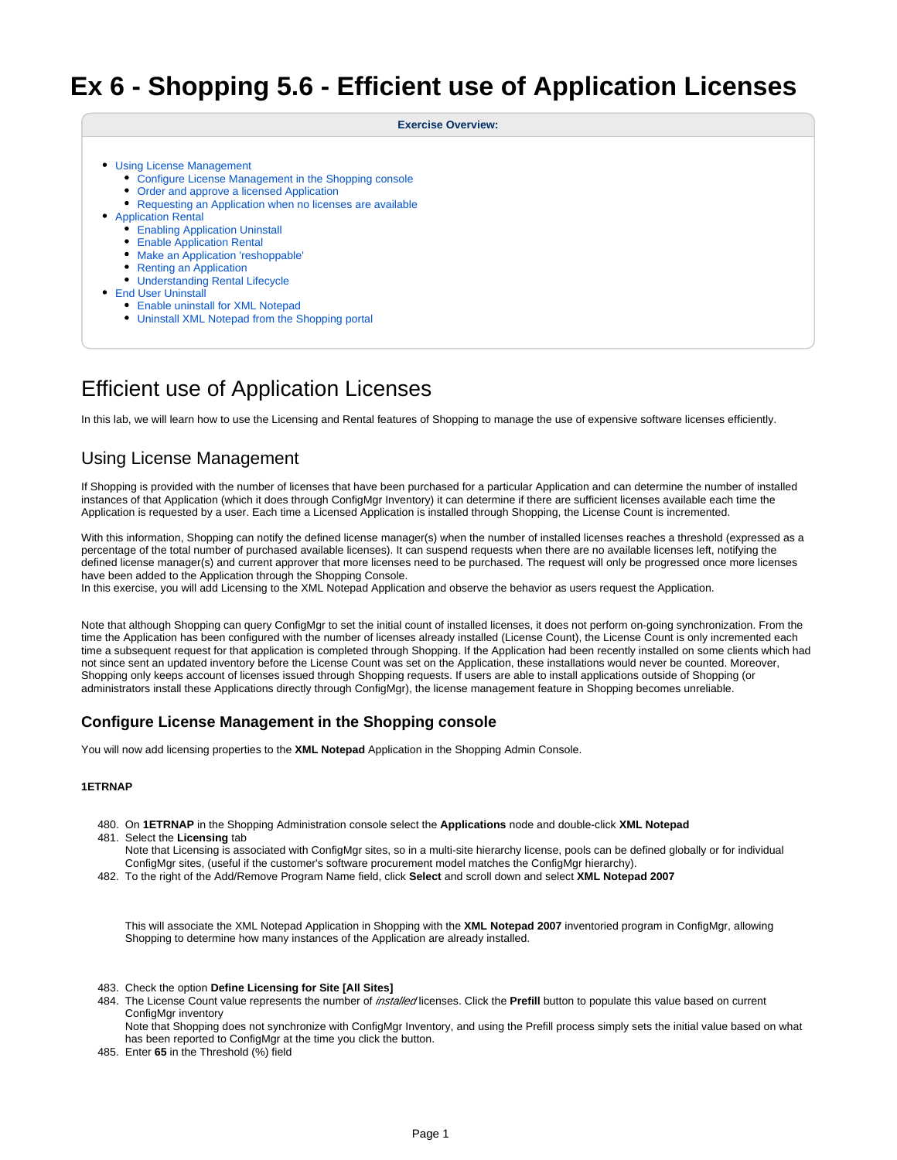# **Ex 6 - Shopping 5.6 - Efficient use of Application Licenses**

#### **Exercise Overview:**

- [Using License Management](#page-0-0)
	- [Configure License Management in the Shopping console](#page-0-1)
	- [Order and approve a licensed Application](#page-1-0)
	- [Requesting an Application when no licenses are available](#page-1-1)
- [Application Rental](#page-2-0)
	- **[Enabling Application Uninstall](#page-2-1)**
	- [Enable Application Rental](#page-3-0)
	- [Make an Application 'reshoppable'](#page-3-1)
	- [Renting an Application](#page-3-2)
	- [Understanding Rental Lifecycle](#page-3-3)
- **[End User Uninstall](#page-4-0)** 
	- [Enable uninstall for XML Notepad](#page-4-1)
	- [Uninstall XML Notepad from the Shopping portal](#page-4-2)

# Efficient use of Application Licenses

In this lab, we will learn how to use the Licensing and Rental features of Shopping to manage the use of expensive software licenses efficiently.

# <span id="page-0-0"></span>Using License Management

If Shopping is provided with the number of licenses that have been purchased for a particular Application and can determine the number of installed instances of that Application (which it does through ConfigMgr Inventory) it can determine if there are sufficient licenses available each time the Application is requested by a user. Each time a Licensed Application is installed through Shopping, the License Count is incremented.

With this information, Shopping can notify the defined license manager(s) when the number of installed licenses reaches a threshold (expressed as a percentage of the total number of purchased available licenses). It can suspend requests when there are no available licenses left, notifying the defined license manager(s) and current approver that more licenses need to be purchased. The request will only be progressed once more licenses have been added to the Application through the Shopping Console.

In this exercise, you will add Licensing to the XML Notepad Application and observe the behavior as users request the Application.

Note that although Shopping can query ConfigMgr to set the initial count of installed licenses, it does not perform on-going synchronization. From the time the Application has been configured with the number of licenses already installed (License Count), the License Count is only incremented each time a subsequent request for that application is completed through Shopping. If the Application had been recently installed on some clients which had not since sent an updated inventory before the License Count was set on the Application, these installations would never be counted. Moreover, Shopping only keeps account of licenses issued through Shopping requests. If users are able to install applications outside of Shopping (or administrators install these Applications directly through ConfigMgr), the license management feature in Shopping becomes unreliable.

## <span id="page-0-1"></span>**Configure License Management in the Shopping console**

You will now add licensing properties to the **XML Notepad** Application in the Shopping Admin Console.

#### **1ETRNAP**

- 480. On **1ETRNAP** in the Shopping Administration console select the **Applications** node and double-click **XML Notepad**
- 481. Select the **Licensing** tab

Note that Licensing is associated with ConfigMgr sites, so in a multi-site hierarchy license, pools can be defined globally or for individual ConfigMgr sites, (useful if the customer's software procurement model matches the ConfigMgr hierarchy).

482. To the right of the Add/Remove Program Name field, click **Select** and scroll down and select **XML Notepad 2007**

This will associate the XML Notepad Application in Shopping with the **XML Notepad 2007** inventoried program in ConfigMgr, allowing Shopping to determine how many instances of the Application are already installed.

- 483. Check the option **Define Licensing for Site [All Sites]**
- 484. The License Count value represents the number of *installed* licenses. Click the Prefill button to populate this value based on current ConfigMar inventory

Note that Shopping does not synchronize with ConfigMgr Inventory, and using the Prefill process simply sets the initial value based on what has been reported to ConfigMgr at the time you click the button.

485. Enter **65** in the Threshold (%) field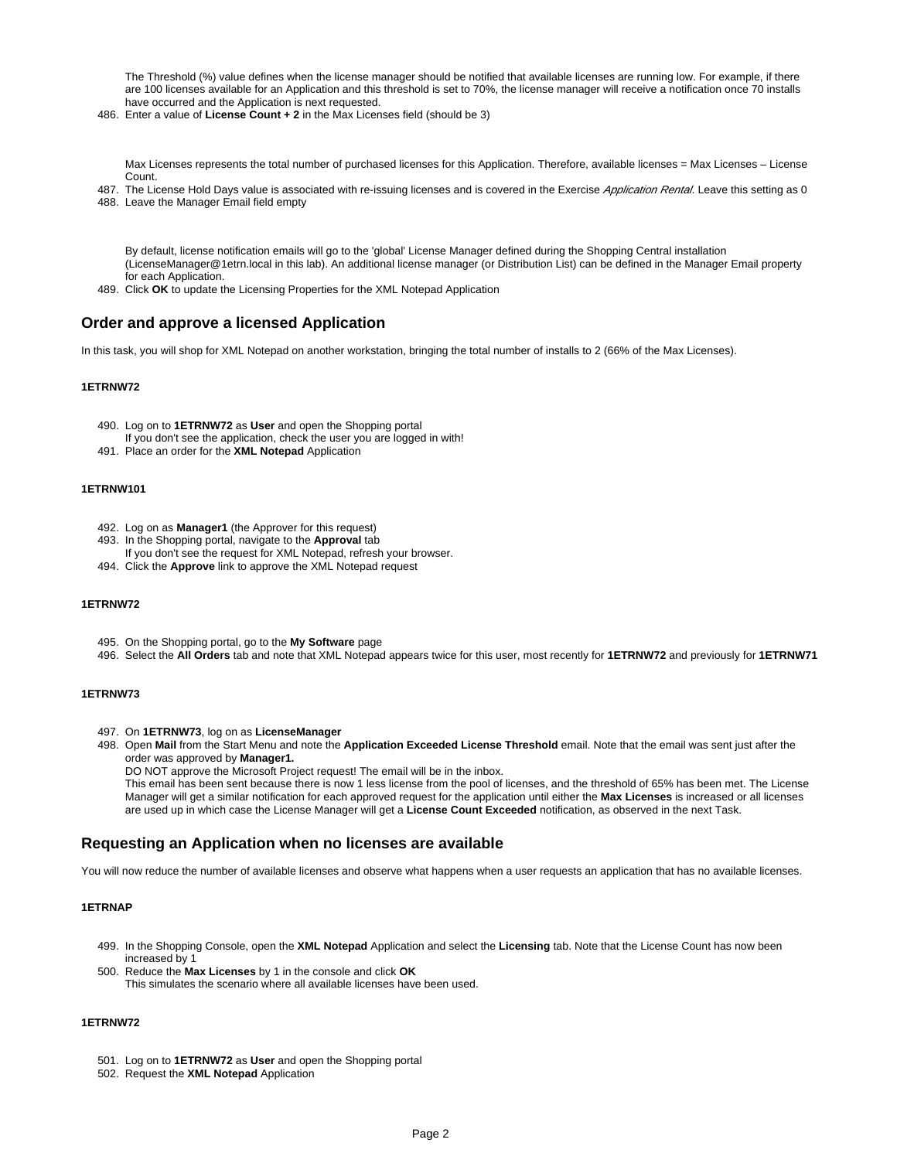The Threshold (%) value defines when the license manager should be notified that available licenses are running low. For example, if there are 100 licenses available for an Application and this threshold is set to 70%, the license manager will receive a notification once 70 installs have occurred and the Application is next requested.

486. Enter a value of **License Count + 2** in the Max Licenses field (should be 3)

Max Licenses represents the total number of purchased licenses for this Application. Therefore, available licenses = Max Licenses - License Count.

- 487. The License Hold Days value is associated with re-issuing licenses and is covered in the Exercise Application Rental. Leave this setting as 0
- 488. Leave the Manager Email field empty

By default, license notification emails will go to the 'global' License Manager defined during the Shopping Central installation (LicenseManager@1etrn.local in this lab). An additional license manager (or Distribution List) can be defined in the Manager Email property for each Application.

489. Click **OK** to update the Licensing Properties for the XML Notepad Application

## <span id="page-1-0"></span>**Order and approve a licensed Application**

In this task, you will shop for XML Notepad on another workstation, bringing the total number of installs to 2 (66% of the Max Licenses).

#### **1ETRNW72**

- 490. Log on to **1ETRNW72** as **User** and open the Shopping portal
- If you don't see the application, check the user you are logged in with!
- 491. Place an order for the **XML Notepad** Application

#### **1ETRNW101**

- 492. Log on as **Manager1** (the Approver for this request)
- 493. In the Shopping portal, navigate to the **Approval** tab
- If you don't see the request for XML Notepad, refresh your browser.
- 494. Click the **Approve** link to approve the XML Notepad request

#### **1ETRNW72**

- 495. On the Shopping portal, go to the **My Software** page
- 496. Select the **All Orders** tab and note that XML Notepad appears twice for this user, most recently for **1ETRNW72** and previously for **1ETRNW71**

#### **1ETRNW73**

- 497. On **1ETRNW73**, log on as **LicenseManager**
- 498. Open **Mail** from the Start Menu and note the **Application Exceeded License Threshold** email. Note that the email was sent just after the order was approved by **Manager1.**

DO NOT approve the Microsoft Project request! The email will be in the inbox.

This email has been sent because there is now 1 less license from the pool of licenses, and the threshold of 65% has been met. The License Manager will get a similar notification for each approved request for the application until either the **Max Licenses** is increased or all licenses are used up in which case the License Manager will get a **License Count Exceeded** notification, as observed in the next Task.

### <span id="page-1-1"></span>**Requesting an Application when no licenses are available**

You will now reduce the number of available licenses and observe what happens when a user requests an application that has no available licenses.

#### **1ETRNAP**

- 499. In the Shopping Console, open the **XML Notepad** Application and select the **Licensing** tab. Note that the License Count has now been increased by 1
- 500. Reduce the **Max Licenses** by 1 in the console and click **OK** This simulates the scenario where all available licenses have been used.

## **1ETRNW72**

- 501. Log on to **1ETRNW72** as **User** and open the Shopping portal
- 502. Request the **XML Notepad** Application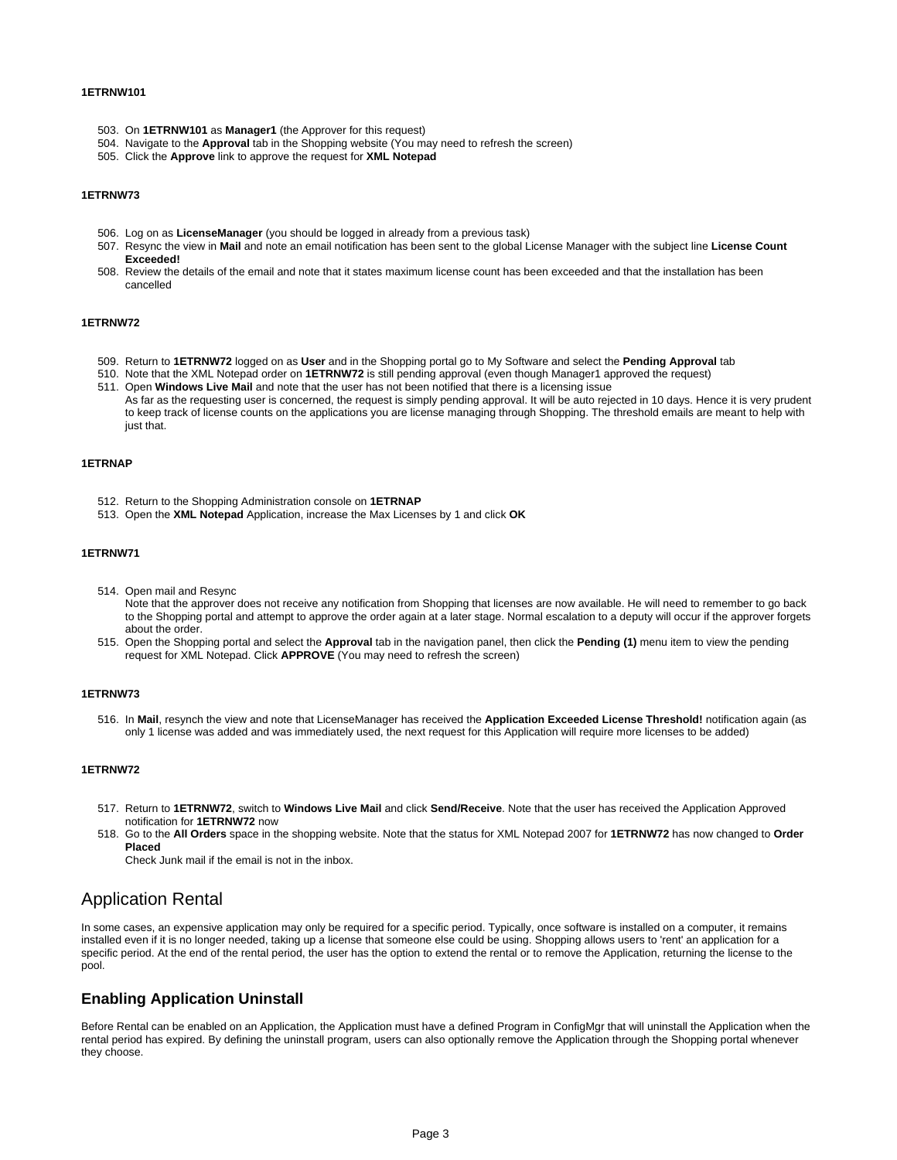#### **1ETRNW101**

- 503. On **1ETRNW101** as **Manager1** (the Approver for this request)
- 504. Navigate to the **Approval** tab in the Shopping website (You may need to refresh the screen)
- 505. Click the **Approve** link to approve the request for **XML Notepad**

#### **1ETRNW73**

- 506. Log on as **LicenseManager** (you should be logged in already from a previous task)
- 507. Resync the view in **Mail** and note an email notification has been sent to the global License Manager with the subject line **License Count Exceeded!**
- 508. Review the details of the email and note that it states maximum license count has been exceeded and that the installation has been cancelled

#### **1ETRNW72**

- 509. Return to **1ETRNW72** logged on as **User** and in the Shopping portal go to My Software and select the **Pending Approval** tab
- 510. Note that the XML Notepad order on **1ETRNW72** is still pending approval (even though Manager1 approved the request)
- 511. Open **Windows Live Mail** and note that the user has not been notified that there is a licensing issue As far as the requesting user is concerned, the request is simply pending approval. It will be auto rejected in 10 days. Hence it is very prudent to keep track of license counts on the applications you are license managing through Shopping. The threshold emails are meant to help with just that.

#### **1ETRNAP**

- 512. Return to the Shopping Administration console on **1ETRNAP**
- 513. Open the **XML Notepad** Application, increase the Max Licenses by 1 and click **OK**

#### **1ETRNW71**

- 514. Open mail and Resync
	- Note that the approver does not receive any notification from Shopping that licenses are now available. He will need to remember to go back to the Shopping portal and attempt to approve the order again at a later stage. Normal escalation to a deputy will occur if the approver forgets about the order.
- 515. Open the Shopping portal and select the **Approval** tab in the navigation panel, then click the **Pending (1)** menu item to view the pending request for XML Notepad. Click **APPROVE** (You may need to refresh the screen)

#### **1ETRNW73**

516. In **Mail**, resynch the view and note that LicenseManager has received the **Application Exceeded License Threshold!** notification again (as only 1 license was added and was immediately used, the next request for this Application will require more licenses to be added)

#### **1ETRNW72**

- 517. Return to **1ETRNW72**, switch to **Windows Live Mail** and click **Send/Receive**. Note that the user has received the Application Approved notification for **1ETRNW72** now
- 518. Go to the **All Orders** space in the shopping website. Note that the status for XML Notepad 2007 for **1ETRNW72** has now changed to **Order Placed**

Check Junk mail if the email is not in the inbox.

## <span id="page-2-0"></span>Application Rental

In some cases, an expensive application may only be required for a specific period. Typically, once software is installed on a computer, it remains installed even if it is no longer needed, taking up a license that someone else could be using. Shopping allows users to 'rent' an application for a specific period. At the end of the rental period, the user has the option to extend the rental or to remove the Application, returning the license to the pool.

## <span id="page-2-1"></span>**Enabling Application Uninstall**

Before Rental can be enabled on an Application, the Application must have a defined Program in ConfigMgr that will uninstall the Application when the rental period has expired. By defining the uninstall program, users can also optionally remove the Application through the Shopping portal whenever they choose.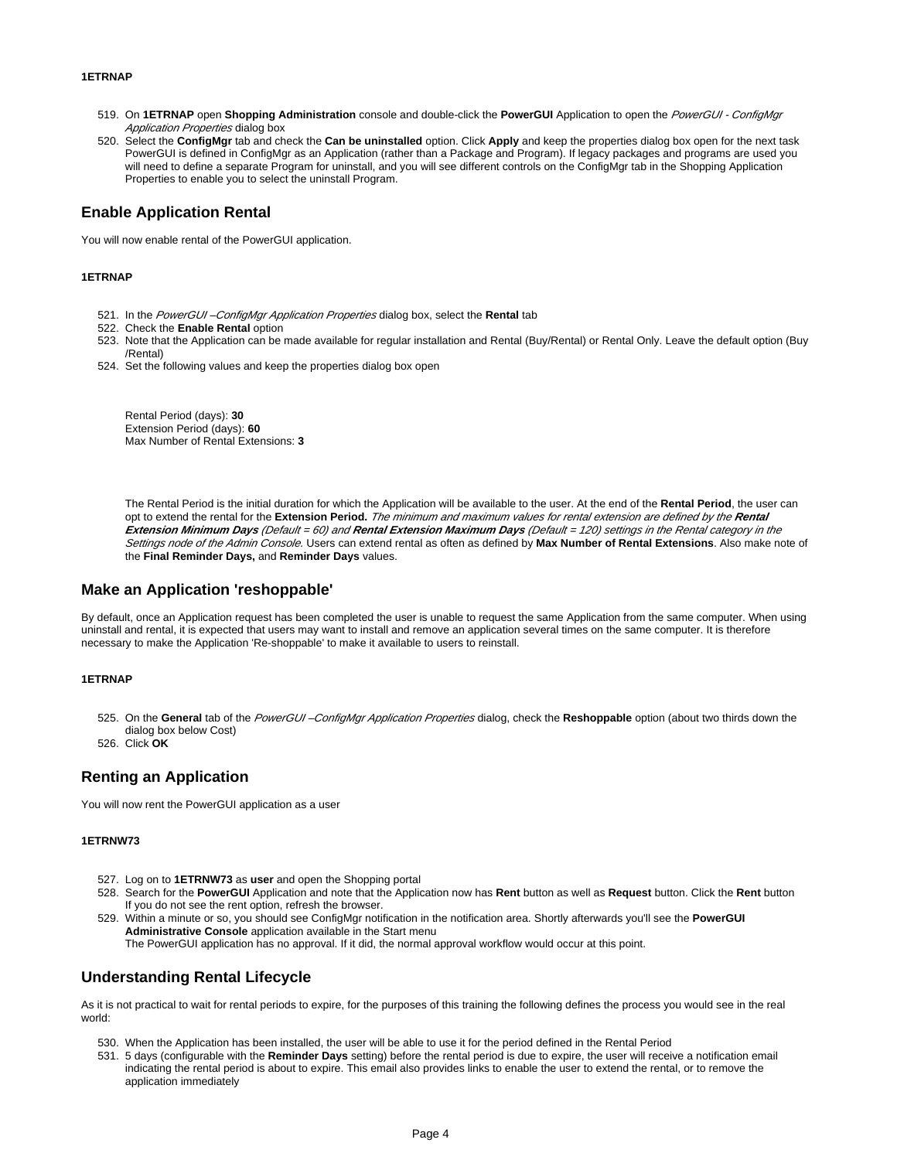#### **1ETRNAP**

- 519. On **1ETRNAP** open **Shopping Administration** console and double-click the **PowerGUI** Application to open the PowerGUI ConfigMgr Application Properties dialog box
- 520. Select the **ConfigMgr** tab and check the **Can be uninstalled** option. Click **Apply** and keep the properties dialog box open for the next task PowerGUI is defined in ConfigMgr as an Application (rather than a Package and Program). If legacy packages and programs are used you will need to define a separate Program for uninstall, and you will see different controls on the ConfigMgr tab in the Shopping Application Properties to enable you to select the uninstall Program.

## <span id="page-3-0"></span>**Enable Application Rental**

You will now enable rental of the PowerGUI application.

#### **1ETRNAP**

- 521. In the PowerGUI –ConfigMgr Application Properties dialog box, select the **Rental** tab
- 522. Check the **Enable Rental** option
- 523. Note that the Application can be made available for regular installation and Rental (Buy/Rental) or Rental Only. Leave the default option (Buy /Rental)
- 524. Set the following values and keep the properties dialog box open

Rental Period (days): **30** Extension Period (days): **60** Max Number of Rental Extensions: **3**

The Rental Period is the initial duration for which the Application will be available to the user. At the end of the **Rental Period**, the user can opt to extend the rental for the **Extension Period.** The minimum and maximum values for rental extension are defined by the **Rental Extension Minimum Days** (Default = 60) and **Rental Extension Maximum Days** (Default = 120) settings in the Rental category in the Settings node of the Admin Console. Users can extend rental as often as defined by **Max Number of Rental Extensions**. Also make note of the **Final Reminder Days,** and **Reminder Days** values.

## <span id="page-3-1"></span>**Make an Application 'reshoppable'**

By default, once an Application request has been completed the user is unable to request the same Application from the same computer. When using uninstall and rental, it is expected that users may want to install and remove an application several times on the same computer. It is therefore necessary to make the Application 'Re-shoppable' to make it available to users to reinstall.

#### **1ETRNAP**

- 525. On the **General** tab of the PowerGUI –ConfigMgr Application Properties dialog, check the **Reshoppable** option (about two thirds down the dialog box below Cost)
- 526. Click **OK**

## <span id="page-3-2"></span>**Renting an Application**

You will now rent the PowerGUI application as a user

#### **1ETRNW73**

- 527. Log on to **1ETRNW73** as **user** and open the Shopping portal
- 528. Search for the **PowerGUI** Application and note that the Application now has **Rent** button as well as **Request** button. Click the **Rent** button If you do not see the rent option, refresh the browser.
- 529. Within a minute or so, you should see ConfigMgr notification in the notification area. Shortly afterwards you'll see the **PowerGUI Administrative Console** application available in the Start menu

The PowerGUI application has no approval. If it did, the normal approval workflow would occur at this point.

## <span id="page-3-3"></span>**Understanding Rental Lifecycle**

As it is not practical to wait for rental periods to expire, for the purposes of this training the following defines the process you would see in the real world:

- 530. When the Application has been installed, the user will be able to use it for the period defined in the Rental Period
- 531. 5 days (configurable with the **Reminder Days** setting) before the rental period is due to expire, the user will receive a notification email indicating the rental period is about to expire. This email also provides links to enable the user to extend the rental, or to remove the application immediately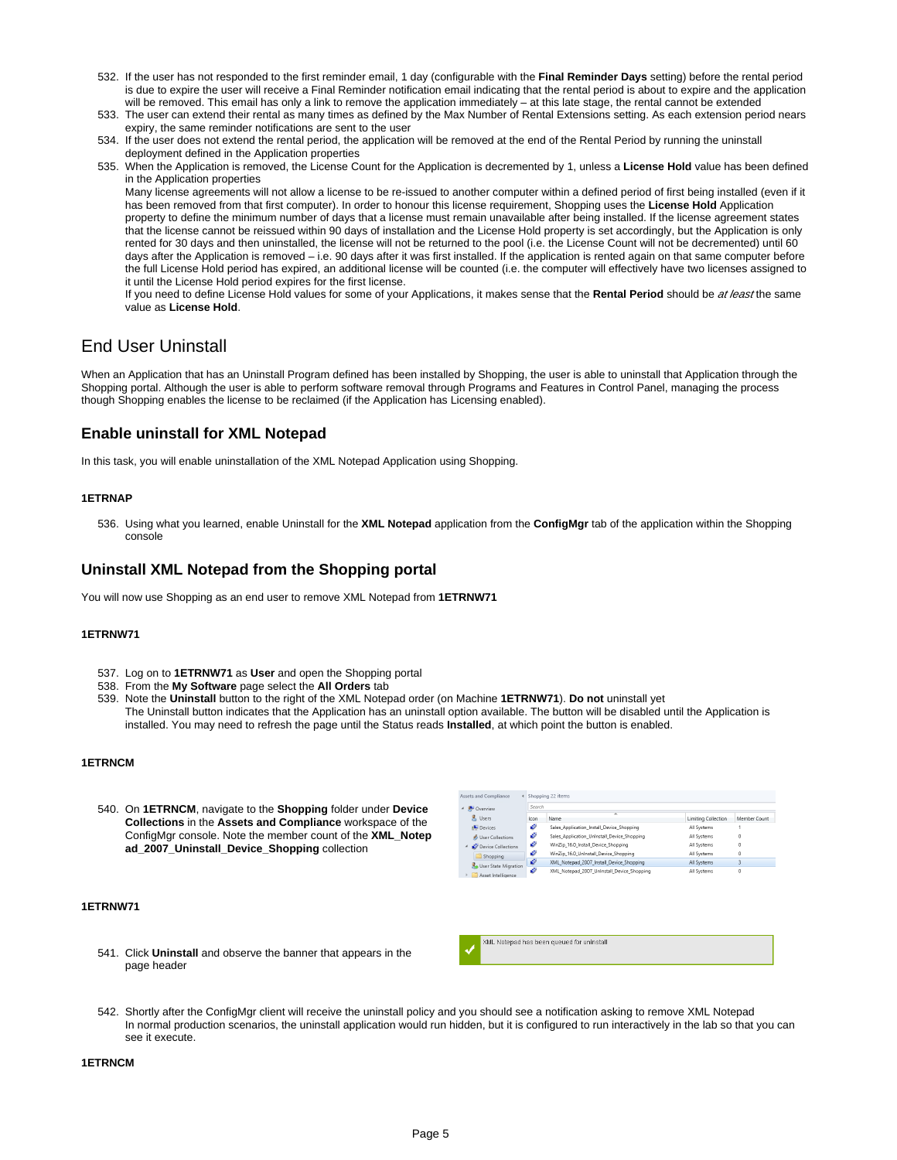- 532. If the user has not responded to the first reminder email, 1 day (configurable with the **Final Reminder Days** setting) before the rental period is due to expire the user will receive a Final Reminder notification email indicating that the rental period is about to expire and the application will be removed. This email has only a link to remove the application immediately – at this late stage, the rental cannot be extended
- 533. The user can extend their rental as many times as defined by the Max Number of Rental Extensions setting. As each extension period nears expiry, the same reminder notifications are sent to the user
- 534. If the user does not extend the rental period, the application will be removed at the end of the Rental Period by running the uninstall deployment defined in the Application properties
- 535. When the Application is removed, the License Count for the Application is decremented by 1, unless a **License Hold** value has been defined in the Application properties

Many license agreements will not allow a license to be re-issued to another computer within a defined period of first being installed (even if it has been removed from that first computer). In order to honour this license requirement, Shopping uses the **License Hold** Application property to define the minimum number of days that a license must remain unavailable after being installed. If the license agreement states that the license cannot be reissued within 90 days of installation and the License Hold property is set accordingly, but the Application is only rented for 30 days and then uninstalled, the license will not be returned to the pool (i.e. the License Count will not be decremented) until 60 days after the Application is removed – i.e. 90 days after it was first installed. If the application is rented again on that same computer before the full License Hold period has expired, an additional license will be counted (i.e. the computer will effectively have two licenses assigned to it until the License Hold period expires for the first license.

If you need to define License Hold values for some of your Applications, it makes sense that the Rental Period should be at least the same value as **License Hold**.

# <span id="page-4-0"></span>End User Uninstall

When an Application that has an Uninstall Program defined has been installed by Shopping, the user is able to uninstall that Application through the Shopping portal. Although the user is able to perform software removal through Programs and Features in Control Panel, managing the process though Shopping enables the license to be reclaimed (if the Application has Licensing enabled).

# <span id="page-4-1"></span>**Enable uninstall for XML Notepad**

In this task, you will enable uninstallation of the XML Notepad Application using Shopping.

#### **1ETRNAP**

536. Using what you learned, enable Uninstall for the **XML Notepad** application from the **ConfigMgr** tab of the application within the Shopping console

## <span id="page-4-2"></span>**Uninstall XML Notepad from the Shopping portal**

You will now use Shopping as an end user to remove XML Notepad from **1ETRNW71**

#### **1ETRNW71**

- 537. Log on to **1ETRNW71** as **User** and open the Shopping portal
- 538. From the **My Software** page select the **All Orders** tab
- 539. Note the **Uninstall** button to the right of the XML Notepad order (on Machine **1ETRNW71**). **Do not** uninstall yet The Uninstall button indicates that the Application has an uninstall option available. The button will be disabled until the Application is installed. You may need to refresh the page until the Status reads **Installed**, at which point the button is enabled.

Assets and Compliance < Shopping 22 items

#### **1ETRNCM**

540. On **1ETRNCM**, navigate to the **Shopping** folder under **Device Collections** in the **Assets and Compliance** workspace of the ConfigMgr console. Note the member count of the **XML\_Notep ad\_2007\_Uninstall\_Device\_Shopping** collection

#### **1ETRNW71**

541. Click **Uninstall** and observe the banner that appears in the page header

|  | Overview                        | Search |                                             |                     |              |  |  |
|--|---------------------------------|--------|---------------------------------------------|---------------------|--------------|--|--|
|  | & Users                         | lcon   | ×<br>Name                                   | Limiting Collection | Member Count |  |  |
|  | <b>N</b> Devices                | o      | Sales Application Install Device Shopping   | All Systems         |              |  |  |
|  | & User Collections              | o      | Sales Application UnInstall Device Shopping | All Systems         | 0            |  |  |
|  | <sup>4</sup> Device Collections | o      | WinZip 16.0 Install Device Shopping         | All Systems         | 0            |  |  |
|  | Shopping                        | o      | WinZip 16.0 UnInstall Device Shopping       | All Systems         | 0            |  |  |
|  | User State Migration            | v      | XML Notepad 2007 Install Device Shopping    | All Systems         | 3            |  |  |
|  | Asset Intelligence              | o      | XML Notepad 2007 UnInstall Device Shopping  | All Systems         | 0            |  |  |



542. Shortly after the ConfigMgr client will receive the uninstall policy and you should see a notification asking to remove XML Notepad In normal production scenarios, the uninstall application would run hidden, but it is configured to run interactively in the lab so that you can see it execute.

#### **1ETRNCM**